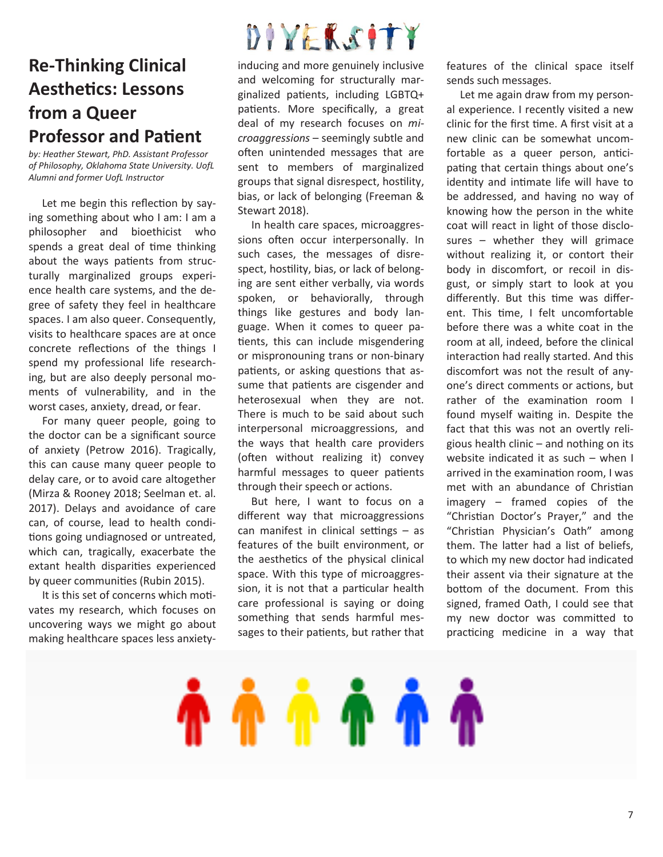### **Re-Thinking Clinical Aesthetics: Lessons from a Queer Professor and Patent**

*by: Heather Stewart, PhD. Assistant Professor of Philosophy, Oklahoma State University. UofL Alumni and former UofL Instructor*

Let me begin this reflection by saying something about who I am: I am a philosopher and bioethicist who spends a great deal of time thinking about the ways patients from structurally marginalized groups experience health care systems, and the degree of safety they feel in healthcare spaces. I am also queer. Consequently, visits to healthcare spaces are at once concrete reflections of the things I spend my professional life researching, but are also deeply personal moments of vulnerability, and in the worst cases, anxiety, dread, or fear.

 For many queer people, going to the doctor can be a signifcant source of anxiety (Petrow 2016). Tragically, this can cause many queer people to delay care, or to avoid care altogether (Mirza & Rooney 2018; Seelman et. al. 2017). Delays and avoidance of care can, of course, lead to health conditions going undiagnosed or untreated, which can, tragically, exacerbate the extant health disparities experienced by queer communites (Rubin 2015).

It is this set of concerns which motivates my research, which focuses on uncovering ways we might go about making healthcare spaces less anxiety-

# DIYEKSITY

inducing and more genuinely inclusive and welcoming for structurally marginalized patents, including LGBTQ+ patients. More specifically, a great deal of my research focuses on *microaggressions* – seemingly subtle and often unintended messages that are sent to members of marginalized groups that signal disrespect, hostlity, bias, or lack of belonging (Freeman & Stewart 2018).

 In health care spaces, microaggressions often occur interpersonally. In such cases, the messages of disrespect, hostility, bias, or lack of belonging are sent either verbally, via words spoken, or behaviorally, through things like gestures and body language. When it comes to queer patients, this can include misgendering or mispronouning trans or non-binary patients, or asking questions that assume that patients are cisgender and heterosexual when they are not. There is much to be said about such interpersonal microaggressions, and the ways that health care providers (often without realizing it) convey harmful messages to queer patients through their speech or actions.

 But here, I want to focus on a diferent way that microaggressions can manifest in clinical settings  $-$  as features of the built environment, or the aesthetics of the physical clinical space. With this type of microaggression, it is not that a particular health care professional is saying or doing something that sends harmful messages to their patients, but rather that

features of the clinical space itself sends such messages.

 Let me again draw from my personal experience. I recently visited a new clinic for the frst tme. A frst visit at a new clinic can be somewhat uncomfortable as a queer person, anticipating that certain things about one's identity and intimate life will have to be addressed, and having no way of knowing how the person in the white coat will react in light of those disclosures – whether they will grimace without realizing it, or contort their body in discomfort, or recoil in disgust, or simply start to look at you differently. But this time was different. This time, I felt uncomfortable before there was a white coat in the room at all, indeed, before the clinical interaction had really started. And this discomfort was not the result of anyone's direct comments or actions, but rather of the examination room I found myself waiting in. Despite the fact that this was not an overtly religious health clinic – and nothing on its website indicated it as such – when I arrived in the examination room, I was met with an abundance of Christan imagery – framed copies of the "Christan Doctor's Prayer," and the "Christan Physician's Oath" among them. The later had a list of beliefs, to which my new doctor had indicated their assent via their signature at the bottom of the document. From this signed, framed Oath, I could see that my new doctor was commited to practicing medicine in a way that

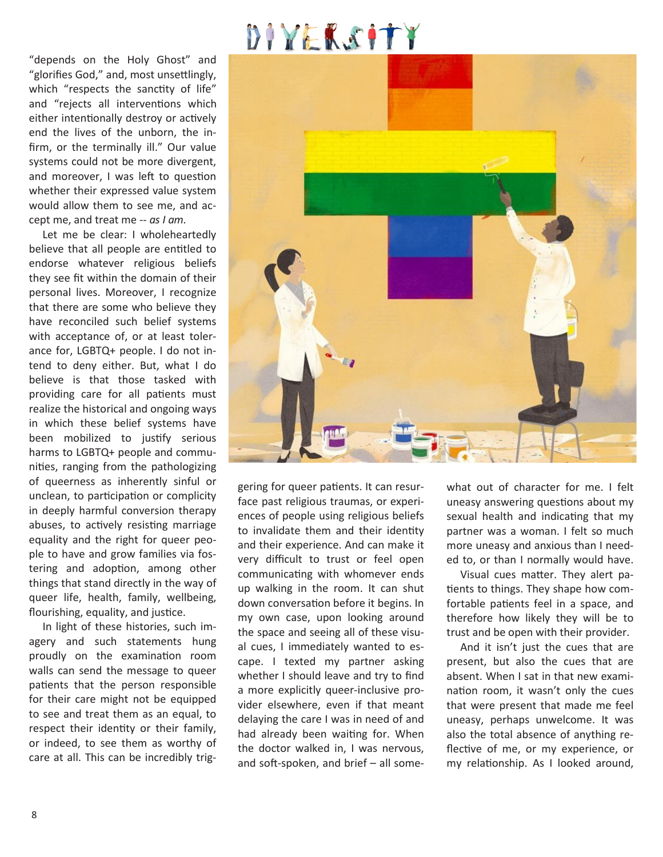## DIYEKSITY

"depends on the Holy Ghost" and "glorifes God," and, most unsetlingly, which "respects the sanctity of life" and "rejects all interventions which either intentionally destroy or actively end the lives of the unborn, the infrm, or the terminally ill." Our value systems could not be more divergent, and moreover, I was left to question whether their expressed value system would allow them to see me, and accept me, and treat me -- *as I am.*

 Let me be clear: I wholeheartedly believe that all people are entitled to endorse whatever religious beliefs they see ft within the domain of their personal lives. Moreover, I recognize that there are some who believe they have reconciled such belief systems with acceptance of, or at least tolerance for, LGBTQ+ people. I do not intend to deny either. But, what I do believe is that those tasked with providing care for all patients must realize the historical and ongoing ways in which these belief systems have been mobilized to justify serious harms to LGBTQ+ people and communites, ranging from the pathologizing of queerness as inherently sinful or unclean, to participation or complicity in deeply harmful conversion therapy abuses, to actively resisting marriage equality and the right for queer people to have and grow families via fostering and adoption, among other things that stand directly in the way of queer life, health, family, wellbeing, flourishing, equality, and justice.

 In light of these histories, such imagery and such statements hung proudly on the examination room walls can send the message to queer patients that the person responsible for their care might not be equipped to see and treat them as an equal, to respect their identity or their family, or indeed, to see them as worthy of care at all. This can be incredibly trig-



gering for queer patents. It can resurface past religious traumas, or experiences of people using religious beliefs to invalidate them and their identity and their experience. And can make it very difficult to trust or feel open communicating with whomever ends up walking in the room. It can shut down conversation before it begins. In my own case, upon looking around the space and seeing all of these visual cues, I immediately wanted to escape. I texted my partner asking whether I should leave and try to find a more explicitly queer-inclusive provider elsewhere, even if that meant delaying the care I was in need of and had already been waiting for. When the doctor walked in, I was nervous, and soft-spoken, and brief  $-$  all somewhat out of character for me. I felt uneasy answering questions about my sexual health and indicating that my partner was a woman. I felt so much more uneasy and anxious than I needed to, or than I normally would have.

Visual cues matter. They alert patients to things. They shape how comfortable patients feel in a space, and therefore how likely they will be to trust and be open with their provider.

 And it isn't just the cues that are present, but also the cues that are absent. When I sat in that new examination room, it wasn't only the cues that were present that made me feel uneasy, perhaps unwelcome. It was also the total absence of anything reflective of me, or my experience, or my relationship. As I looked around,